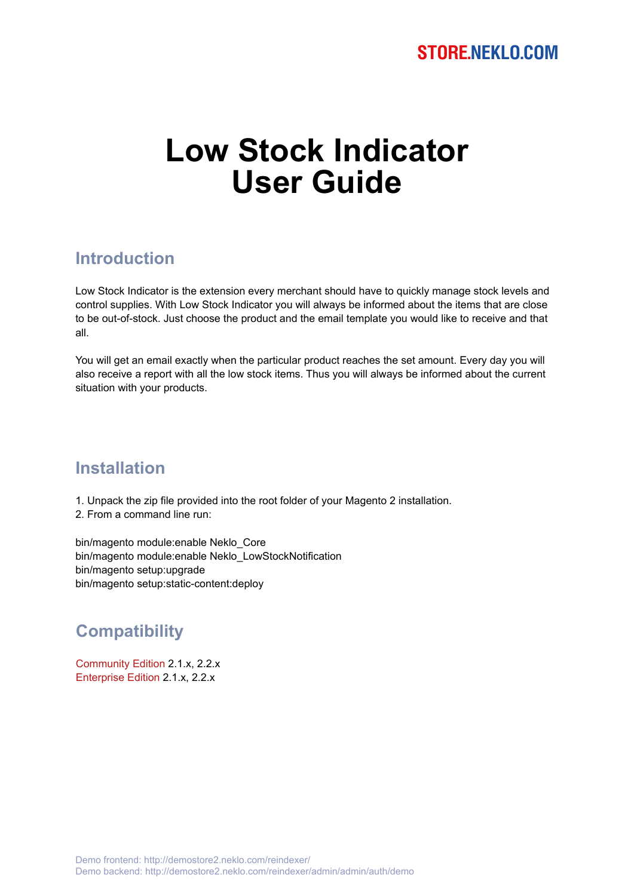# **Low Stock Indicator User Guide**

#### **Introduction**

Low Stock Indicator is the extension every merchant should have to quickly manage stock levels and control supplies. With Low Stock Indicator you will always be informed about the items that are close to be out-of-stock. Just choose the product and the email template you would like to receive and that all.

You will get an email exactly when the particular product reaches the set amount. Every day you will also receive a report with all the low stock items. Thus you will always be informed about the current situation with your products.

#### **Installation**

1. Unpack the zip file provided into the root folder of your Magento 2 installation.

2. From a command line run:

bin/magento module:enable Neklo\_Core bin/magento module:enable Neklo\_LowStockNotification bin/magento setup:upgrade bin/magento setup:static-content:deploy

## **Compatibility**

Community Edition 2.1.x, 2.2.x Enterprise Edition 2.1.x, 2.2.x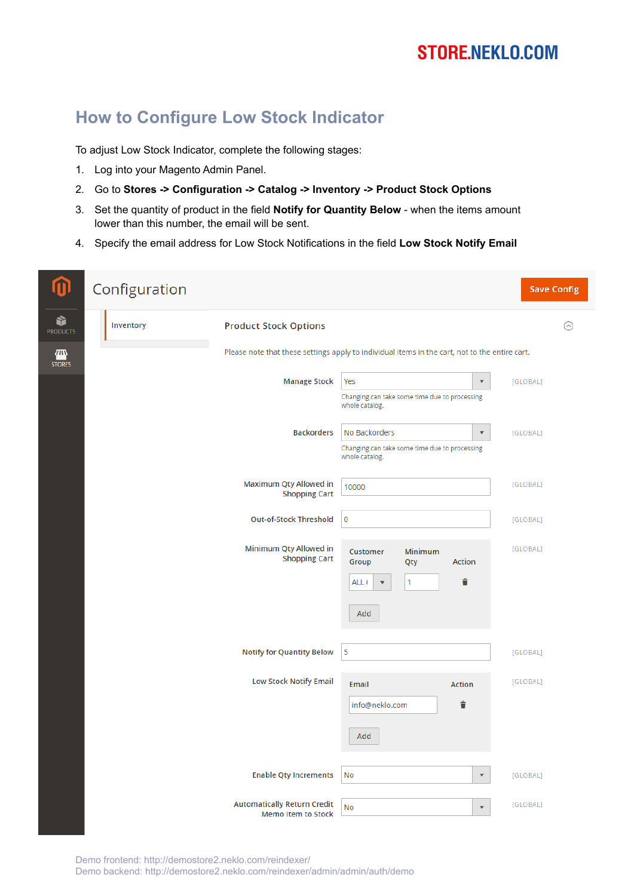## **STORE.NEKLO.COM**

## **How to Configure Low Stock Indicator**

To adjust Low Stock Indicator, complete the following stages:

- 1. Log into your Magento Admin Panel.
- 2. Go to **Stores -> Configuration -> Catalog -> Inventory -> Product Stock Options**
- 3. Set the quantity of product in the field **Notify for Quantity Below** when the items amount lower than this number, the email will be sent.
- 4. Specify the email address for Low Stock Notifications in the field **Low Stock Notify Email**

| ⋒                    | Configuration |                                                                 |                                                                                                | <b>Save Config</b>               |
|----------------------|---------------|-----------------------------------------------------------------|------------------------------------------------------------------------------------------------|----------------------------------|
| Ŷ<br><b>PRODUCTS</b> | Inventory     | <b>Product Stock Options</b>                                    |                                                                                                | ⊙                                |
| ▥<br><b>STORES</b>   |               |                                                                 | Please note that these settings apply to individual items in the cart, not to the entire cart. |                                  |
|                      |               | <b>Manage Stock</b>                                             | Yes<br>Changing can take some time due to processing                                           | [GLOBAL]<br>$\blacktriangledown$ |
|                      |               |                                                                 | whole catalog.                                                                                 |                                  |
|                      |               | <b>Backorders</b>                                               | No Backorders<br>Changing can take some time due to processing                                 | [GLOBAL]<br>$\blacktriangledown$ |
|                      |               |                                                                 | whole catalog.                                                                                 |                                  |
|                      |               | Maximum Qty Allowed in<br><b>Shopping Cart</b>                  | 10000                                                                                          | [GLOBAL]                         |
|                      |               | <b>Out-of-Stock Threshold</b>                                   | $\overline{0}$                                                                                 | [GLOBAL]                         |
|                      |               | Minimum Qty Allowed in<br><b>Shopping Cart</b>                  | Minimum<br><b>Customer</b><br>Action<br>Group<br>Qty                                           | [GLOBAL]                         |
|                      |               |                                                                 | î<br>$\mathbf{1}$<br>ALL (                                                                     |                                  |
|                      |               |                                                                 | Add                                                                                            |                                  |
|                      |               | <b>Notify for Quantity Below</b>                                | 5                                                                                              | [GLOBAL]                         |
|                      |               | <b>Low Stock Notify Email</b>                                   | Email<br>Action                                                                                | [GLOBAL]                         |
|                      |               |                                                                 | î<br>info@neklo.com                                                                            |                                  |
|                      |               |                                                                 | Add                                                                                            |                                  |
|                      |               |                                                                 |                                                                                                |                                  |
|                      |               | <b>Enable Qty Increments</b>                                    | No                                                                                             | $\mathbf{v}$<br>[GLOBAL]         |
|                      |               | <b>Automatically Return Credit</b><br><b>Memo Item to Stock</b> | No                                                                                             | [GLOBAL]<br>$\blacktriangledown$ |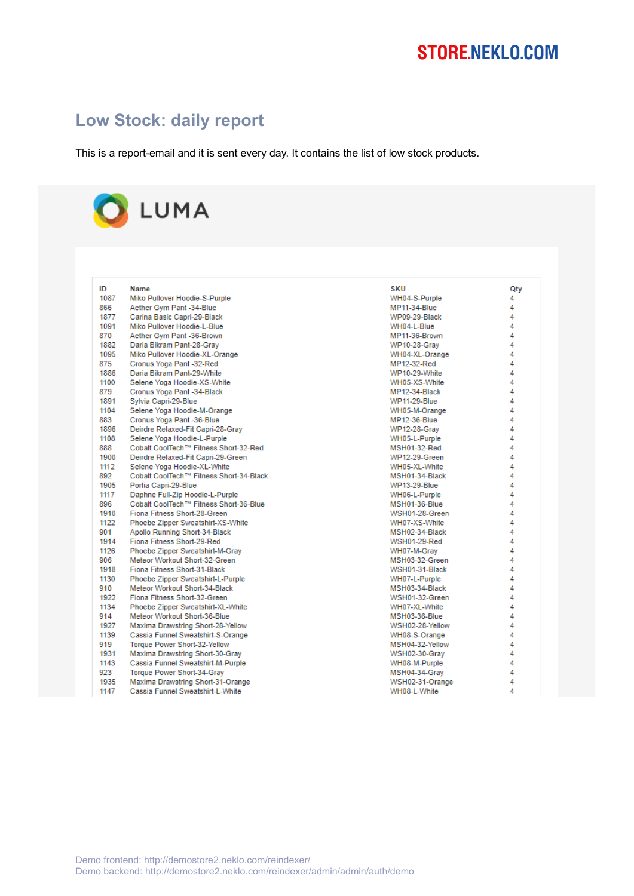# **STORE.NEKLO.COM**

### **Low Stock: daily report**

This is a report-email and it is sent every day. It contains the list of low stock products.

# LUMA

| ID   | <b>Name</b>                             | SKU                  | Qtv |
|------|-----------------------------------------|----------------------|-----|
| 1087 | Miko Pullover Hoodie-S-Purple           | WH04-S-Purple        | 4   |
| 866  | Aether Gym Pant -34-Blue                | <b>MP11-34-Blue</b>  | 4   |
| 1877 | Carina Basic Capri-29-Black             | WP09-29-Black        | 4   |
| 1091 | Miko Pullover Hoodie-L-Blue             | WH04-L-Blue          | 4   |
| 870  | Aether Gym Pant -36-Brown               | MP11-36-Brown        | 4   |
| 1882 | Daria Bikram Pant-28-Gray               | <b>WP10-28-Gray</b>  | 4   |
| 1095 | Miko Pullover Hoodie-XL-Orange          | WH04-XL-Orange       | 4   |
| 875  | Cronus Yoga Pant -32-Red                | MP12-32-Red          | 4   |
| 1886 | Daria Bikram Pant-29-White              | WP10-29-White        | 4   |
| 1100 | Selene Yoga Hoodie-XS-White             | WH05-XS-White        | 4   |
| 879  | Cronus Yoga Pant -34-Black              | MP12-34-Black        | 4   |
| 1891 | Sylvia Capri-29-Blue                    | <b>WP11-29-Blue</b>  | 4   |
| 1104 | Selene Yoga Hoodie-M-Orange             | WH05-M-Orange        | 4   |
| 883  | Cronus Yoga Pant -36-Blue               | <b>MP12-36-Blue</b>  | 4   |
| 1896 | Deirdre Relaxed-Fit Capri-28-Gray       | <b>WP12-28-Grav</b>  | 4   |
| 1108 | Selene Yoga Hoodie-L-Purple             | WH05-L-Purple        | 4   |
| 888  | Cobalt CoolTech™ Fitness Short-32-Red   | MSH01-32-Red         | 4   |
| 1900 | Deirdre Relaxed-Fit Capri-29-Green      | <b>WP12-29-Green</b> | 4   |
| 1112 | Selene Yoga Hoodie-XL-White             | WH05-XL-White        | 4   |
| 892  | Cobalt CoolTech™ Fitness Short-34-Black | MSH01-34-Black       | 4   |
| 1905 | Portia Capri-29-Blue                    | <b>WP13-29-Blue</b>  | 4   |
| 1117 | Daphne Full-Zip Hoodie-L-Purple         | WH06-L-Purple        | 4   |
| 896  | Cobalt CoolTech™ Fitness Short-36-Blue  | MSH01-36-Blue        | 4   |
| 1910 | Fiona Fitness Short-28-Green            | WSH01-28-Green       | 4   |
| 1122 | Phoebe Zipper Sweatshirt-XS-White       | WH07-XS-White        | 4   |
| 901  | Apollo Running Short-34-Black           | MSH02-34-Black       | 4   |
| 1914 | Fiona Fitness Short-29-Red              | <b>WSH01-29-Red</b>  | 4   |
| 1126 | Phoebe Zipper Sweatshirt-M-Grav         | WH07-M-Grav          | 4   |
| 906  | Meteor Workout Short-32-Green           | MSH03-32-Green       | 4   |
| 1918 | Fiona Fitness Short-31-Black            | WSH01-31-Black       | 4   |
| 1130 | Phoebe Zipper Sweatshirt-L-Purple       | WH07-L-Purple        | 4   |
| 910  | Meteor Workout Short-34-Black           | MSH03-34-Black       | 4   |
| 1922 | Fiona Fitness Short-32-Green            | WSH01-32-Green       | 4   |
| 1134 | Phoebe Zipper Sweatshirt-XL-White       | WH07-XL-White        | 4   |
| 914  | Meteor Workout Short-36-Blue            | MSH03-36-Blue        | 4   |
| 1927 | Maxima Drawstring Short-28-Yellow       | WSH02-28-Yellow      | 4   |
| 1139 | Cassia Funnel Sweatshirt-S-Orange       | WH08-S-Orange        | 4   |
| 919  | Torque Power Short-32-Yellow            | MSH04-32-Yellow      | 4   |
| 1931 | Maxima Drawstring Short-30-Gray         | WSH02-30-Grav        | 4   |
| 1143 | Cassia Funnel Sweatshirt-M-Purple       | WH08-M-Purple        | 4   |
| 923  | Torque Power Short-34-Gray              | MSH04-34-Grav        | 4   |
| 1935 | Maxima Drawstring Short-31-Orange       | WSH02-31-Orange      | 4   |
| 1147 | Cassia Funnel Sweatshirt-L-White        | WH08-L-White         | 4   |